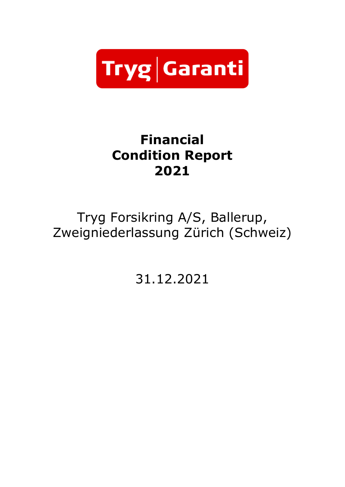

# **Financial Condition Report 2021**

# Tryg Forsikring A/S, Ballerup, Zweigniederlassung Zürich (Schweiz)

31.12.2021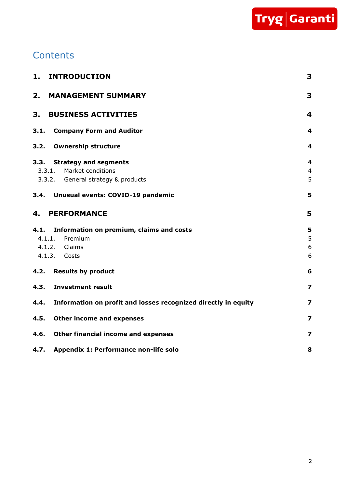

# **Contents**

| 1.<br><b>INTRODUCTION</b>                                              | 3                       |
|------------------------------------------------------------------------|-------------------------|
| 2. MANAGEMENT SUMMARY                                                  | 3                       |
| З.<br><b>BUSINESS ACTIVITIES</b>                                       | $\overline{\mathbf{4}}$ |
| 3.1. Company Form and Auditor                                          | 4                       |
| 3.2.<br><b>Ownership structure</b>                                     | 4                       |
| 3.3. Strategy and segments                                             | 4                       |
| 3.3.1. Market conditions                                               | $\overline{4}$          |
| 3.3.2. General strategy & products                                     | 5                       |
| 3.4. Unusual events: COVID-19 pandemic                                 | 5                       |
| <b>4. PERFORMANCE</b>                                                  | 5                       |
| 4.1. Information on premium, claims and costs                          | 5                       |
| 4.1.1.<br>Premium                                                      | 5                       |
| 4.1.2. Claims                                                          | 6                       |
| 4.1.3. Costs                                                           | 6                       |
| <b>Results by product</b><br>4.2.                                      | 6                       |
| <b>Investment result</b><br>4.3.                                       | $\overline{\mathbf{z}}$ |
| 4.4.<br>Information on profit and losses recognized directly in equity | 7                       |
| 4.5.<br>Other income and expenses                                      | $\overline{z}$          |
| 4.6.<br>Other financial income and expenses                            | 7                       |
| 4.7.<br>Appendix 1: Performance non-life solo                          | 8                       |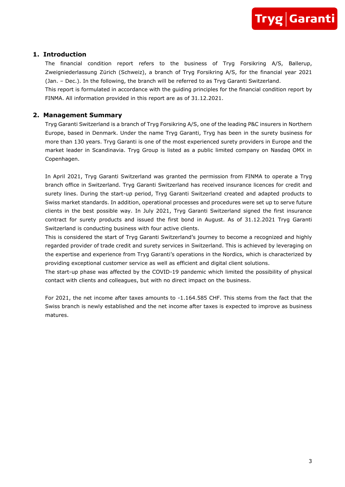Tryg Garanti

# <span id="page-2-0"></span>**1. Introduction**

The financial condition report refers to the business of Tryg Forsikring A/S, Ballerup, Zweigniederlassung Zürich (Schweiz), a branch of Tryg Forsikring A/S, for the financial year 2021 (Jan. – Dec.). In the following, the branch will be referred to as Tryg Garanti Switzerland.

This report is formulated in accordance with the guiding principles for the financial condition report by FINMA. All information provided in this report are as of 31.12.2021.

# <span id="page-2-1"></span>**2. Management Summary**

Tryg Garanti Switzerland is a branch of Tryg Forsikring A/S, one of the leading P&C insurers in Northern Europe, based in Denmark. Under the name Tryg Garanti, Tryg has been in the surety business for more than 130 years. Tryg Garanti is one of the most experienced surety providers in Europe and the market leader in Scandinavia. Tryg Group is listed as a public limited company on Nasdaq OMX in Copenhagen.

In April 2021, Tryg Garanti Switzerland was granted the permission from FINMA to operate a Tryg branch office in Switzerland. Tryg Garanti Switzerland has received insurance licences for credit and surety lines. During the start-up period, Tryg Garanti Switzerland created and adapted products to Swiss market standards. In addition, operational processes and procedures were set up to serve future clients in the best possible way. In July 2021, Tryg Garanti Switzerland signed the first insurance contract for surety products and issued the first bond in August. As of 31.12.2021 Tryg Garanti Switzerland is conducting business with four active clients.

This is considered the start of Tryg Garanti Switzerland's journey to become a recognized and highly regarded provider of trade credit and surety services in Switzerland. This is achieved by leveraging on the expertise and experience from Tryg Garanti's operations in the Nordics, which is characterized by providing exceptional customer service as well as efficient and digital client solutions.

The start-up phase was affected by the COVID-19 pandemic which limited the possibility of physical contact with clients and colleagues, but with no direct impact on the business.

For 2021, the net income after taxes amounts to -1.164.585 CHF. This stems from the fact that the Swiss branch is newly established and the net income after taxes is expected to improve as business matures.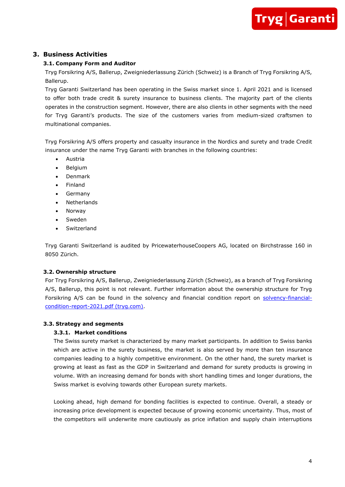Tryg Garanti

# <span id="page-3-1"></span><span id="page-3-0"></span>**3. Business Activities**

# **3.1. Company Form and Auditor**

Tryg Forsikring A/S, Ballerup, Zweigniederlassung Zürich (Schweiz) is a Branch of Tryg Forsikring A/S, Ballerup.

Tryg Garanti Switzerland has been operating in the Swiss market since 1. April 2021 and is licensed to offer both trade credit & surety insurance to business clients. The majority part of the clients operates in the construction segment. However, there are also clients in other segments with the need for Tryg Garanti's products. The size of the customers varies from medium-sized craftsmen to multinational companies.

Tryg Forsikring A/S offers property and casualty insurance in the Nordics and surety and trade Credit insurance under the name Tryg Garanti with branches in the following countries:

- Austria
- Belgium
- Denmark
- Finland
- **Germany**
- **Netherlands**
- Norway
- Sweden
- **Switzerland**

Tryg Garanti Switzerland is audited by PricewaterhouseCoopers AG, located on Birchstrasse 160 in 8050 Zürich.

# <span id="page-3-2"></span>**3.2. Ownership structure**

For Tryg Forsikring A/S, Ballerup, Zweigniederlassung Zürich (Schweiz), as a branch of Tryg Forsikring A/S, Ballerup, this point is not relevant. Further information about the ownership structure for Tryg Forsikring A/S can be found in the solvency and financial condition report on [solvency-financial](https://www.tryg.com/en/dokumenter/trygcom/solvency-financial-condition-report-2021.pdf)[condition-report-2021.pdf \(tryg.com\).](https://www.tryg.com/en/dokumenter/trygcom/solvency-financial-condition-report-2021.pdf)

# <span id="page-3-4"></span><span id="page-3-3"></span>**3.3. Strategy and segments**

# **3.3.1. Market conditions**

The Swiss surety market is characterized by many market participants. In addition to Swiss banks which are active in the surety business, the market is also served by more than ten insurance companies leading to a highly competitive environment. On the other hand, the surety market is growing at least as fast as the GDP in Switzerland and demand for surety products is growing in volume. With an increasing demand for bonds with short handling times and longer durations, the Swiss market is evolving towards other European surety markets.

Looking ahead, high demand for bonding facilities is expected to continue. Overall, a steady or increasing price development is expected because of growing economic uncertainty. Thus, most of the competitors will underwrite more cautiously as price inflation and supply chain interruptions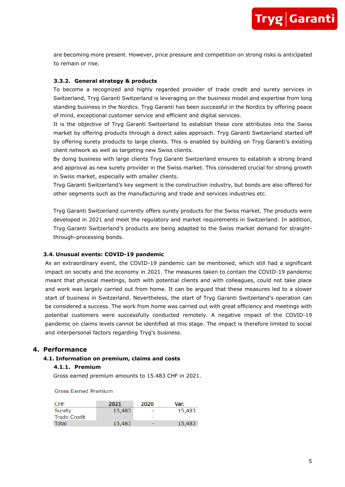

are becoming more present. However, price pressure and competition on strong risks is anticipated to remain or rise.

#### <span id="page-4-0"></span>**3.3.2. General strategy & products**

To become a recognized and highly regarded provider of trade credit and surety services in Switzerland, Tryg Garanti Switzerland is leveraging on the business model and expertise from long standing business in the Nordics. Tryg Garanti has been successful in the Nordics by offering peace of mind, exceptional customer service and efficient and digital services.

It is the objective of Tryg Garanti Switzerland to establish these core attributes into the Swiss market by offering products through a direct sales approach. Tryg Garanti Switzerland started off by offering surety products to large clients. This is enabled by building on Tryg Garanti's existing client network as well as targeting new Swiss clients.

By doing business with large clients Tryg Garanti Switzerland ensures to establish a strong brand and approval as new surety provider in the Swiss market. This considered crucial for strong growth in Swiss market, especially with smaller clients.

Tryg Garanti Switzerland's key segment is the construction industry, but bonds are also offered for other segments such as the manufacturing and trade and services industries etc.

Tryg Garanti Switzerland currently offers surety products for the Swiss market. The products were developed in 2021 and meet the regulatory and market requirements in Switzerland. In addition, Tryg Garanti Switzerland's products are being adapted to the Swiss market demand for straightthrough-processing bonds.

#### <span id="page-4-1"></span>**3.4. Unusual events: COVID-19 pandemic**

As an extraordinary event, the COVID-19 pandemic can be mentioned, which still had a significant impact on society and the economy in 2021. The measures taken to contain the COVID-19 pandemic meant that physical meetings, both with potential clients and with colleagues, could not take place and work was largely carried out from home. It can be argued that these measures led to a slower start of business in Switzerland. Nevertheless, the start of Tryg Garanti Switzerland's operation can be considered a success. The work from home was carried out with great efficiency and meetings with potential customers were successfully conducted remotely. A negative impact of the COVID-19 pandemic on claims levels cannot be identified at this stage. The impact is therefore limited to social and interpersonal factors regarding Tryg's business.

#### <span id="page-4-3"></span><span id="page-4-2"></span>**4. Performance**

#### <span id="page-4-4"></span>**4.1. Information on premium, claims and costs**

#### **4.1.1. Premium**

Gross earned premium amounts to 15.483 CHF in 2021.

**Gross Earned Premium** 

| <b>CHF</b>          | 2021   | 2020 | Var.   |
|---------------------|--------|------|--------|
| Surety              | 15,483 | ۰    | 15,483 |
| <b>Trade Credit</b> |        | -    |        |
| Total               | 15,483 |      | 15,483 |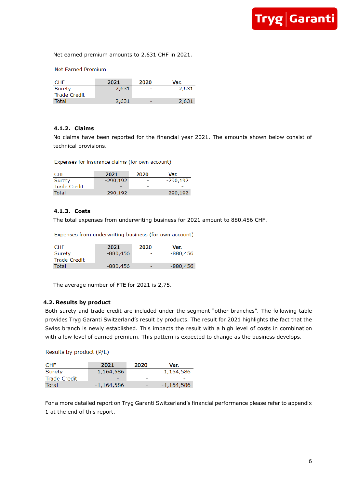Net earned premium amounts to 2.631 CHF in 2021.

**Net Earned Premium** 

| <b>CHF</b>   | 2021  | 2020                     | Var.  |
|--------------|-------|--------------------------|-------|
| Surety       | 2.631 | $\overline{\phantom{0}}$ | 2.631 |
| Trade Credit |       |                          |       |
| Total        | 2.631 |                          | 2,631 |

#### <span id="page-5-0"></span>**4.1.2. Claims**

No claims have been reported for the financial year 2021. The amounts shown below consist of technical provisions.

Expenses for insurance claims (for own account)

| <b>CHF</b>   | 2021       | 2020 | Var.       |
|--------------|------------|------|------------|
| Surety       | $-290,192$ |      | $-290,192$ |
| Trade Credit |            |      |            |
| Total        | $-290,192$ |      | $-290,192$ |

#### <span id="page-5-1"></span>**4.1.3. Costs**

The total expenses from underwriting business for 2021 amount to 880.456 CHF.

Expenses from underwriting business (for own account)

| <b>CHF</b>   | 2021       | 2020                     | Var.     |
|--------------|------------|--------------------------|----------|
| Surety       | $-880,456$ |                          | -880,456 |
| Trade Credit |            | $\overline{\phantom{0}}$ |          |
| Total        | $-880,456$ | $\overline{\phantom{0}}$ | -880,456 |

The average number of FTE for 2021 is 2,75.

#### <span id="page-5-2"></span>**4.2. Results by product**

Both surety and trade credit are included under the segment "other branches". The following table provides Tryg Garanti Switzerland's result by products. The result for 2021 highlights the fact that the Swiss branch is newly established. This impacts the result with a high level of costs in combination with a low level of earned premium. This pattern is expected to change as the business develops.

Results by product (P/L)

| <b>CHF</b>   | 2021         | 2020                     | Var.         |
|--------------|--------------|--------------------------|--------------|
| Surety       | $-1,164,586$ |                          | -1,164,586   |
| Trade Credit |              | $\overline{\phantom{a}}$ |              |
| Total        | $-1,164,586$ | $\overline{\phantom{0}}$ | $-1,164,586$ |

For a more detailed report on Tryg Garanti Switzerland's financial performance please refer to appendix 1 at the end of this report.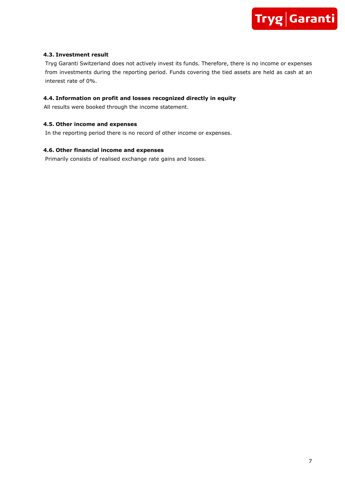

# <span id="page-6-0"></span>**4.3. Investment result**

Tryg Garanti Switzerland does not actively invest its funds. Therefore, there is no income or expenses from investments during the reporting period. Funds covering the tied assets are held as cash at an interest rate of 0%.

# <span id="page-6-1"></span>**4.4. Information on profit and losses recognized directly in equity**

All results were booked through the income statement.

# <span id="page-6-2"></span>**4.5. Other income and expenses**

In the reporting period there is no record of other income or expenses.

### <span id="page-6-3"></span>**4.6. Other financial income and expenses**

Primarily consists of realised exchange rate gains and losses.